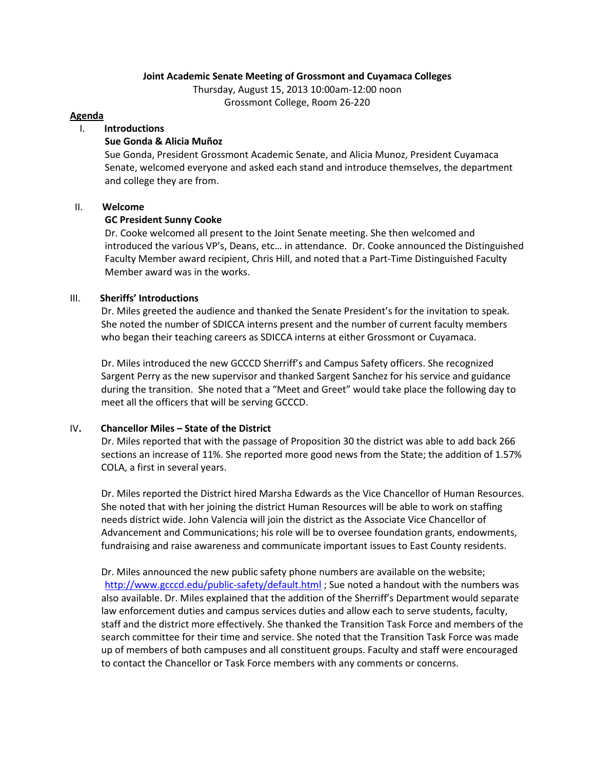## **Joint Academic Senate Meeting of Grossmont and Cuyamaca Colleges**

Thursday, August 15, 2013 10:00am-12:00 noon Grossmont College, Room 26-220

#### **Agenda**

## I. **Introductions**

#### **Sue Gonda & Alicia Muñoz**

Sue Gonda, President Grossmont Academic Senate, and Alicia Munoz, President Cuyamaca Senate, welcomed everyone and asked each stand and introduce themselves, the department and college they are from.

#### II. **Welcome**

## **GC President Sunny Cooke**

Dr. Cooke welcomed all present to the Joint Senate meeting. She then welcomed and introduced the various VP's, Deans, etc… in attendance. Dr. Cooke announced the Distinguished Faculty Member award recipient, Chris Hill, and noted that a Part-Time Distinguished Faculty Member award was in the works.

## III. **Sheriffs' Introductions**

Dr. Miles greeted the audience and thanked the Senate President's for the invitation to speak. She noted the number of SDICCA interns present and the number of current faculty members who began their teaching careers as SDICCA interns at either Grossmont or Cuyamaca.

Dr. Miles introduced the new GCCCD Sherriff's and Campus Safety officers. She recognized Sargent Perry as the new supervisor and thanked Sargent Sanchez for his service and guidance during the transition. She noted that a "Meet and Greet" would take place the following day to meet all the officers that will be serving GCCCD.

# IV**. Chancellor Miles – State of the District**

Dr. Miles reported that with the passage of Proposition 30 the district was able to add back 266 sections an increase of 11%. She reported more good news from the State; the addition of 1.57% COLA, a first in several years.

Dr. Miles reported the District hired Marsha Edwards as the Vice Chancellor of Human Resources. She noted that with her joining the district Human Resources will be able to work on staffing needs district wide. John Valencia will join the district as the Associate Vice Chancellor of Advancement and Communications; his role will be to oversee foundation grants, endowments, fundraising and raise awareness and communicate important issues to East County residents.

Dr. Miles announced the new public safety phone numbers are available on the website; <http://www.gcccd.edu/public-safety/default.html> ; Sue noted a handout with the numbers was also available. Dr. Miles explained that the addition of the Sherriff's Department would separate law enforcement duties and campus services duties and allow each to serve students, faculty, staff and the district more effectively. She thanked the Transition Task Force and members of the search committee for their time and service. She noted that the Transition Task Force was made up of members of both campuses and all constituent groups. Faculty and staff were encouraged to contact the Chancellor or Task Force members with any comments or concerns.